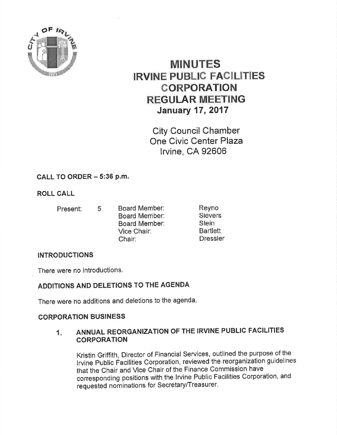

# **MINUTES IRVINE PUBLIC FACILITIES CORPORATION REGULAR MEETING** January 17,2017

City Council Chamber One Civic Center Plaza lrvine, CA 92606

## CALL TO ORDER  $-5:36$  p.m.

ROLL CALL

- 
- Present: <sup>5</sup> Board Member: Board Member: Board Member: Vice Chair: Chair:

Reyno Sievers Stein Bartlett Dressler

# **INTRODUCTIONS**

There were no introductions.

# ADDITIONS AND DELETIONS TO THE AGENDA

There were no additions and deletions to the agenda-

### **CORPORATION BUSINESS**

#### 1. ANNUAL REORGANIZATION OF THE IRVINE PUBLIC FACILITIES **CORPORATION**

Kristin Griffith, Director of Financial Services, outlined the purpose of the lrvine public Facilities Corporation, reviewed the reorganization guidelines that the Chair and Vice Chair of the Finance Commission have corresponding positions with the lrvine Public Facilities Corporation, and requested nominations for Secretary/Treasurer.